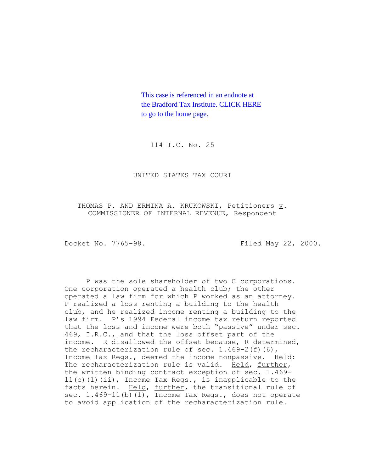This case is referenced in an endnote at [the Bradford Tax Institute. CLICK HERE](http://www.bradfordtaxinstitute.com/)  to go to the home page.

114 T.C. No. 25

UNITED STATES TAX COURT

THOMAS P. AND ERMINA A. KRUKOWSKI, Petitioners v. COMMISSIONER OF INTERNAL REVENUE, Respondent

Docket No. 7765-98. Filed May 22, 2000.

P was the sole shareholder of two C corporations. One corporation operated a health club; the other operated a law firm for which P worked as an attorney. P realized a loss renting a building to the health club, and he realized income renting a building to the law firm. P's 1994 Federal income tax return reported that the loss and income were both "passive" under sec. 469, I.R.C., and that the loss offset part of the income. R disallowed the offset because, R determined, the recharacterization rule of sec.  $1.469-2(f)(6)$ , Income Tax Regs., deemed the income nonpassive. Held: The recharacterization rule is valid. Held, further, the written binding contract exception of sec. 1.469- 11(c)(1)(ii), Income Tax Regs., is inapplicable to the facts herein. Held, further, the transitional rule of sec. 1.469-11(b)(1), Income Tax Regs., does not operate to avoid application of the recharacterization rule.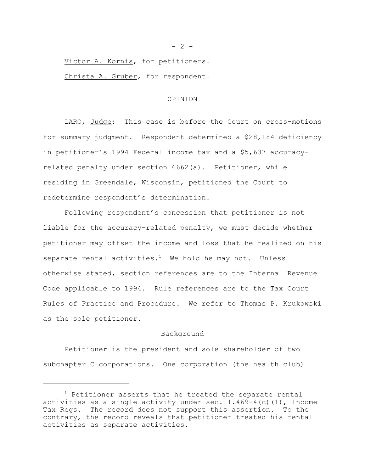Victor A. Kornis, for petitioners.

Christa A. Gruber, for respondent.

#### OPINION

LARO, Judge: This case is before the Court on cross-motions for summary judgment. Respondent determined a \$28,184 deficiency in petitioner's 1994 Federal income tax and a \$5,637 accuracyrelated penalty under section 6662(a). Petitioner, while residing in Greendale, Wisconsin, petitioned the Court to redetermine respondent's determination.

Following respondent's concession that petitioner is not liable for the accuracy-related penalty, we must decide whether petitioner may offset the income and loss that he realized on his separate rental activities.<sup>1</sup> We hold he may not. Unless otherwise stated, section references are to the Internal Revenue Code applicable to 1994. Rule references are to the Tax Court Rules of Practice and Procedure. We refer to Thomas P. Krukowski as the sole petitioner.

#### Background

Petitioner is the president and sole shareholder of two subchapter C corporations. One corporation (the health club)

 $- 2 -$ 

 $1$  Petitioner asserts that he treated the separate rental activities as a single activity under sec.  $1.469-4$  (c)(1), Income Tax Regs. The record does not support this assertion. To the contrary, the record reveals that petitioner treated his rental activities as separate activities.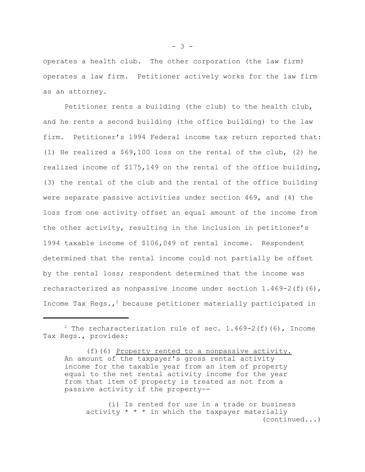operates a health club. The other corporation (the law firm) operates a law firm. Petitioner actively works for the law firm as an attorney.

Petitioner rents a building (the club) to the health club, and he rents a second building (the office building) to the law firm. Petitioner's 1994 Federal income tax return reported that: (1) He realized a \$69,100 loss on the rental of the club, (2) he realized income of \$175,149 on the rental of the office building, (3) the rental of the club and the rental of the office building were separate passive activities under section 469, and (4) the loss from one activity offset an equal amount of the income from the other activity, resulting in the inclusion in petitioner's 1994 taxable income of \$106,049 of rental income. Respondent determined that the rental income could not partially be offset by the rental loss; respondent determined that the income was recharacterized as nonpassive income under section 1.469-2(f)(6), Income Tax Regs.,<sup>2</sup> because petitioner materially participated in

(i) Is rented for use in a trade or business activity  $* * *$  in which the taxpayer materially (continued...)

<sup>&</sup>lt;sup>2</sup> The recharacterization rule of sec.  $1.469-2(f)(6)$ , Income Tax Regs., provides:

<sup>(</sup>f)(6) Property rented to a nonpassive activity. An amount of the taxpayer's gross rental activity income for the taxable year from an item of property equal to the net rental activity income for the year from that item of property is treated as not from a passive activity if the property--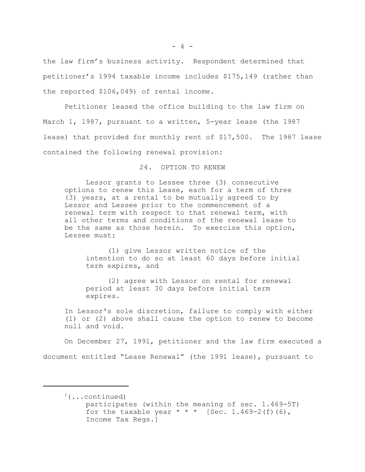the law firm's business activity. Respondent determined that petitioner's 1994 taxable income includes \$175,149 (rather than the reported \$106,049) of rental income.

Petitioner leased the office building to the law firm on March 1, 1987, pursuant to a written, 5-year lease (the 1987 lease) that provided for monthly rent of \$17,500. The 1987 lease contained the following renewal provision:

24. OPTION TO RENEW

Lessor grants to Lessee three (3) consecutive options to renew this Lease, each for a term of three (3) years, at a rental to be mutually agreed to by Lessor and Lessee prior to the commencement of a renewal term with respect to that renewal term, with all other terms and conditions of the renewal lease to be the same as those herein. To exercise this option, Lessee must:

(1) give Lessor written notice of the intention to do so at least 60 days before initial term expires, and

(2) agree with Lessor on rental for renewal period at least 30 days before initial term expires.

In Lessor's sole discretion, failure to comply with either (1) or (2) above shall cause the option to renew to become null and void.

On December 27, 1991, petitioner and the law firm executed a document entitled "Lease Renewal" (the 1991 lease), pursuant to

 $2(\ldots \text{continued})$ participates (within the meaning of sec. 1.469-5T) for the taxable year  $* * *$  [Sec. 1.469-2(f)(6), Income Tax Regs.]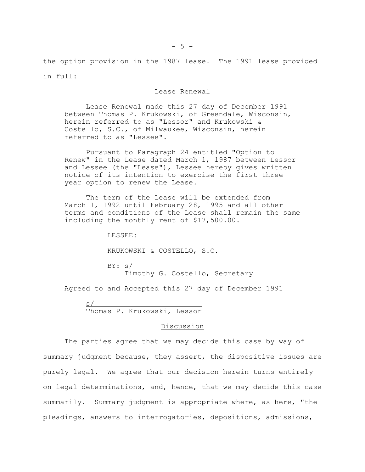the option provision in the 1987 lease. The 1991 lease provided in full:

Lease Renewal

Lease Renewal made this 27 day of December 1991 between Thomas P. Krukowski, of Greendale, Wisconsin, herein referred to as "Lessor" and Krukowski & Costello, S.C., of Milwaukee, Wisconsin, herein referred to as "Lessee".

Pursuant to Paragraph 24 entitled "Option to Renew" in the Lease dated March 1, 1987 between Lessor and Lessee (the "Lease"), Lessee hereby gives written notice of its intention to exercise the first three year option to renew the Lease.

The term of the Lease will be extended from March 1, 1992 until February 28, 1995 and all other terms and conditions of the Lease shall remain the same including the monthly rent of \$17,500.00.

LESSEE:

KRUKOWSKI & COSTELLO, S.C.

BY: <u>s/</u> Timothy G. Costello, Secretary

Agreed to and Accepted this 27 day of December 1991

s/ Thomas P. Krukowski, Lessor

#### Discussion

The parties agree that we may decide this case by way of summary judgment because, they assert, the dispositive issues are purely legal. We agree that our decision herein turns entirely on legal determinations, and, hence, that we may decide this case summarily. Summary judgment is appropriate where, as here, "the pleadings, answers to interrogatories, depositions, admissions,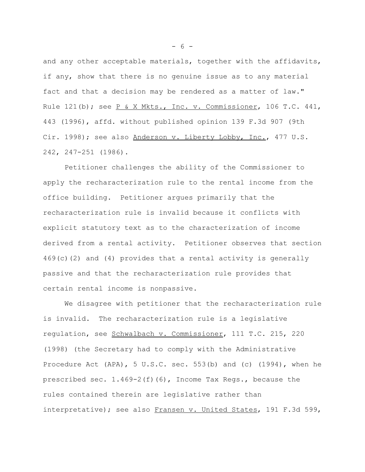and any other acceptable materials, together with the affidavits, if any, show that there is no genuine issue as to any material fact and that a decision may be rendered as a matter of law." Rule 121(b); see P & X Mkts., Inc. v. Commissioner, 106 T.C. 441, 443 (1996), affd. without published opinion 139 F.3d 907 (9th Cir. 1998); see also Anderson v. Liberty Lobby, Inc., 477 U.S. 242, 247-251 (1986).

Petitioner challenges the ability of the Commissioner to apply the recharacterization rule to the rental income from the office building. Petitioner argues primarily that the recharacterization rule is invalid because it conflicts with explicit statutory text as to the characterization of income derived from a rental activity. Petitioner observes that section 469(c)(2) and (4) provides that a rental activity is generally passive and that the recharacterization rule provides that certain rental income is nonpassive.

We disagree with petitioner that the recharacterization rule is invalid. The recharacterization rule is a legislative regulation, see Schwalbach v. Commissioner, 111 T.C. 215, 220 (1998) (the Secretary had to comply with the Administrative Procedure Act (APA), 5 U.S.C. sec. 553(b) and (c) (1994), when he prescribed sec.  $1.469-2(f)(6)$ , Income Tax Regs., because the rules contained therein are legislative rather than interpretative); see also Fransen v. United States, 191 F.3d 599,

- 6 -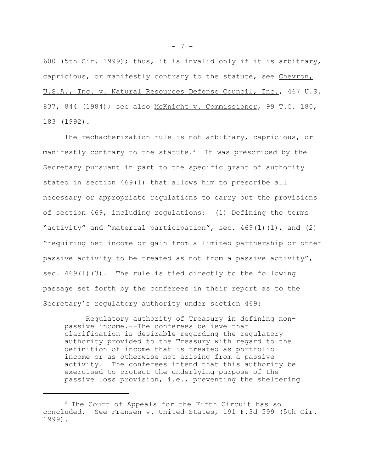600 (5th Cir. 1999); thus, it is invalid only if it is arbitrary, capricious, or manifestly contrary to the statute, see Chevron, U.S.A., Inc. v. Natural Resources Defense Council, Inc., 467 U.S. 837, 844 (1984); see also McKnight v. Commissioner, 99 T.C. 180, 183 (1992).

The rechacterization rule is not arbitrary, capricious, or manifestly contrary to the statute.<sup>3</sup> It was prescribed by the Secretary pursuant in part to the specific grant of authority stated in section 469(l) that allows him to prescribe all necessary or appropriate regulations to carry out the provisions of section 469, including regulations: (1) Defining the terms "activity" and "material participation", sec.  $469(1)(1)$ , and  $(2)$ "requiring net income or gain from a limited partnership or other passive activity to be treated as not from a passive activity", sec.  $469(1)(3)$ . The rule is tied directly to the following passage set forth by the conferees in their report as to the Secretary's regulatory authority under section 469:

Regulatory authority of Treasury in defining nonpassive income.--The conferees believe that clarification is desirable regarding the regulatory authority provided to the Treasury with regard to the definition of income that is treated as portfolio income or as otherwise not arising from a passive activity. The conferees intend that this authority be exercised to protect the underlying purpose of the passive loss provision, i.e., preventing the sheltering

- 7 -

<sup>&</sup>lt;sup>3</sup> The Court of Appeals for the Fifth Circuit has so concluded. See Fransen v. United States, 191 F.3d 599 (5th Cir. 1999).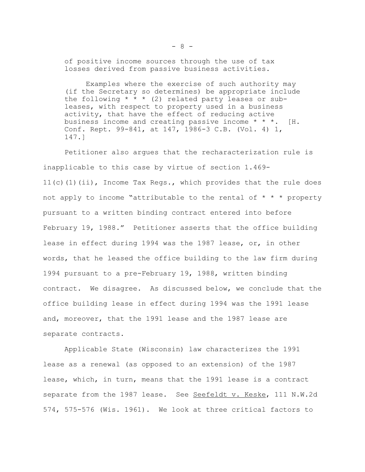of positive income sources through the use of tax losses derived from passive business activities.

Examples where the exercise of such authority may (if the Secretary so determines) be appropriate include the following  $* * * (2)$  related party leases or subleases, with respect to property used in a business activity, that have the effect of reducing active business income and creating passive income \* \* \*. [H. Conf. Rept. 99-841, at 147, 1986-3 C.B. (Vol. 4) 1, 147.]

Petitioner also argues that the recharacterization rule is inapplicable to this case by virtue of section 1.469- 11(c)(1)(ii), Income Tax Regs., which provides that the rule does not apply to income "attributable to the rental of  $* * *$  property pursuant to a written binding contract entered into before February 19, 1988." Petitioner asserts that the office building lease in effect during 1994 was the 1987 lease, or, in other words, that he leased the office building to the law firm during 1994 pursuant to a pre-February 19, 1988, written binding contract. We disagree. As discussed below, we conclude that the office building lease in effect during 1994 was the 1991 lease and, moreover, that the 1991 lease and the 1987 lease are separate contracts.

Applicable State (Wisconsin) law characterizes the 1991 lease as a renewal (as opposed to an extension) of the 1987 lease, which, in turn, means that the 1991 lease is a contract separate from the 1987 lease. See Seefeldt v. Keske, 111 N.W.2d 574, 575-576 (Wis. 1961). We look at three critical factors to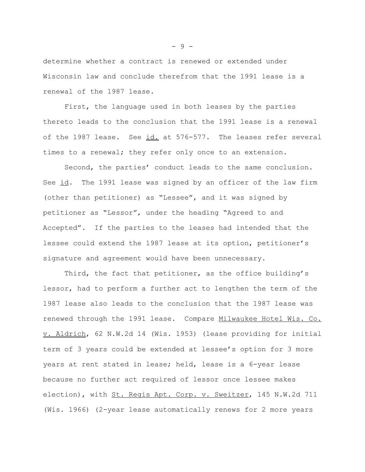determine whether a contract is renewed or extended under Wisconsin law and conclude therefrom that the 1991 lease is a renewal of the 1987 lease.

First, the language used in both leases by the parties thereto leads to the conclusion that the 1991 lease is a renewal of the 1987 lease. See id. at 576-577. The leases refer several times to a renewal; they refer only once to an extension.

Second, the parties' conduct leads to the same conclusion. See id. The 1991 lease was signed by an officer of the law firm (other than petitioner) as "Lessee", and it was signed by petitioner as "Lessor", under the heading "Agreed to and Accepted". If the parties to the leases had intended that the lessee could extend the 1987 lease at its option, petitioner's signature and agreement would have been unnecessary.

Third, the fact that petitioner, as the office building's lessor, had to perform a further act to lengthen the term of the 1987 lease also leads to the conclusion that the 1987 lease was renewed through the 1991 lease. Compare Milwaukee Hotel Wis. Co. v. Aldrich, 62 N.W.2d 14 (Wis. 1953) (lease providing for initial term of 3 years could be extended at lessee's option for 3 more years at rent stated in lease; held, lease is a 6-year lease because no further act required of lessor once lessee makes election), with St. Regis Apt. Corp. v. Sweitzer, 145 N.W.2d 711 (Wis. 1966) (2-year lease automatically renews for 2 more years

- 9 -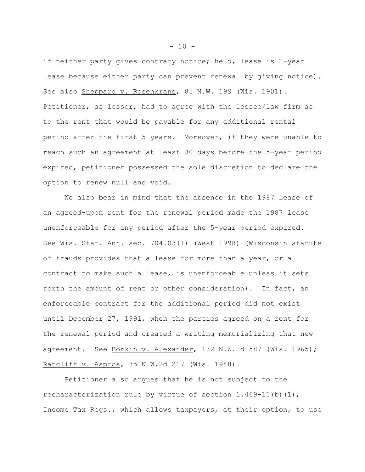if neither party gives contrary notice; held, lease is 2-year lease because either party can prevent renewal by giving notice). See also Sheppard v. Rosenkrans, 85 N.W. 199 (Wis. 1901). Petitioner, as lessor, had to agree with the lessee/law firm as to the rent that would be payable for any additional rental period after the first 5 years. Moreover, if they were unable to reach such an agreement at least 30 days before the 5-year period expired, petitioner possessed the sole discretion to declare the option to renew null and void.

We also bear in mind that the absence in the 1987 lease of an agreed-upon rent for the renewal period made the 1987 lease unenforceable for any period after the 5-year period expired. See Wis. Stat. Ann. sec. 704.03(1) (West 1998) (Wisconsin statute of frauds provides that a lease for more than a year, or a contract to make such a lease, is unenforceable unless it sets forth the amount of rent or other consideration). In fact, an enforceable contract for the additional period did not exist until December 27, 1991, when the parties agreed on a rent for the renewal period and created a writing memorializing that new agreement. See Borkin v. Alexander, 132 N.W.2d 587 (Wis. 1965); Ratcliff v. Aspros, 35 N.W.2d 217 (Wis. 1948).

Petitioner also argues that he is not subject to the recharacterization rule by virtue of section  $1.469-11$  (b)  $(1)$ , Income Tax Regs., which allows taxpayers, at their option, to use

 $- 10 -$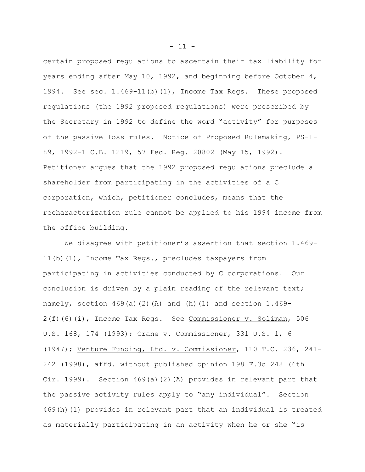certain proposed regulations to ascertain their tax liability for years ending after May 10, 1992, and beginning before October 4, 1994. See sec. 1.469-11(b)(1), Income Tax Regs. These proposed regulations (the 1992 proposed regulations) were prescribed by the Secretary in 1992 to define the word "activity" for purposes of the passive loss rules. Notice of Proposed Rulemaking, PS-1- 89, 1992-1 C.B. 1219, 57 Fed. Reg. 20802 (May 15, 1992). Petitioner argues that the 1992 proposed regulations preclude a shareholder from participating in the activities of a C corporation, which, petitioner concludes, means that the recharacterization rule cannot be applied to his 1994 income from the office building.

We disagree with petitioner's assertion that section 1.469- 11(b)(1), Income Tax Regs., precludes taxpayers from participating in activities conducted by C corporations. Our conclusion is driven by a plain reading of the relevant text; namely, section  $469(a)(2)(A)$  and (h)(1) and section  $1.469-$ 2(f)(6)(i), Income Tax Regs. See Commissioner v. Soliman, 506 U.S. 168, 174 (1993); Crane v. Commissioner, 331 U.S. 1, 6 (1947); Venture Funding, Ltd. v. Commissioner, 110 T.C. 236, 241- 242 (1998), affd. without published opinion 198 F.3d 248 (6th Cir. 1999). Section  $469(a)(2)(A)$  provides in relevant part that the passive activity rules apply to "any individual". Section 469(h)(1) provides in relevant part that an individual is treated as materially participating in an activity when he or she "is

 $- 11 -$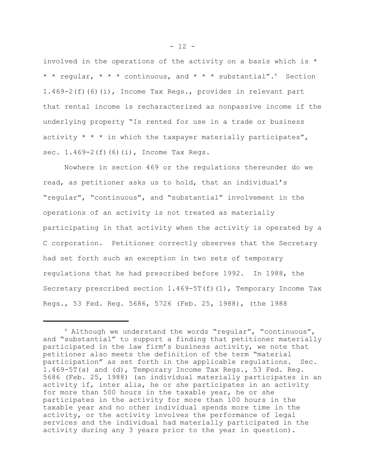involved in the operations of the activity on a basis which is \* \* \* regular, \* \* \* continuous, and \* \* \* substantial".4 Section 1.469-2(f)(6)(i), Income Tax Regs., provides in relevant part that rental income is recharacterized as nonpassive income if the underlying property "Is rented for use in a trade or business activity  $* * *$  in which the taxpayer materially participates", sec. 1.469-2(f)(6)(i), Income Tax Regs.

Nowhere in section 469 or the regulations thereunder do we read, as petitioner asks us to hold, that an individual's "regular", "continuous", and "substantial" involvement in the operations of an activity is not treated as materially participating in that activity when the activity is operated by a C corporation. Petitioner correctly observes that the Secretary had set forth such an exception in two sets of temporary regulations that he had prescribed before 1992. In 1988, the Secretary prescribed section  $1.469-5T(f)(1)$ , Temporary Income Tax Regs., 53 Fed. Reg. 5686, 5726 (Feb. 25, 1988), (the 1988

<sup>4</sup> Although we understand the words "regular", "continuous", and "substantial" to support a finding that petitioner materially participated in the law firm's business activity, we note that petitioner also meets the definition of the term "material participation" as set forth in the applicable regulations. Sec. 1.469-5T(a) and (d), Temporary Income Tax Regs., 53 Fed. Reg. 5686 (Feb. 25, 1988) (an individual materially participates in an activity if, inter alia, he or she participates in an activity for more than 500 hours in the taxable year, he or she participates in the activity for more than 100 hours in the taxable year and no other individual spends more time in the activity, or the activity involves the performance of legal services and the individual had materially participated in the activity during any 3 years prior to the year in question).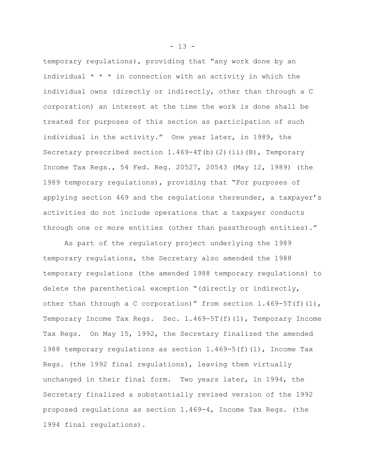temporary regulations), providing that "any work done by an individual  $* * *$  in connection with an activity in which the individual owns (directly or indirectly, other than through a C corporation) an interest at the time the work is done shall be treated for purposes of this section as participation of such individual in the activity." One year later, in 1989, the Secretary prescribed section  $1.469-4T(b)(2)(ii)(B)$ , Temporary Income Tax Regs., 54 Fed. Reg. 20527, 20543 (May 12, 1989) (the 1989 temporary regulations), providing that "For purposes of applying section 469 and the regulations thereunder, a taxpayer's activities do not include operations that a taxpayer conducts through one or more entities (other than passthrough entities)."

As part of the regulatory project underlying the 1989 temporary regulations, the Secretary also amended the 1988 temporary regulations (the amended 1988 temporary regulations) to delete the parenthetical exception "(directly or indirectly, other than through a C corporation)" from section  $1.469 - 5T(f)(1)$ , Temporary Income Tax Regs. Sec.  $1.469-5T(f)(1)$ , Temporary Income Tax Regs. On May 15, 1992, the Secretary finalized the amended 1988 temporary regulations as section  $1.469-5(f)(1)$ , Income Tax Regs. (the 1992 final regulations), leaving them virtually unchanged in their final form. Two years later, in 1994, the Secretary finalized a substantially revised version of the 1992 proposed regulations as section 1.469-4, Income Tax Regs. (the 1994 final regulations).

 $- 13 -$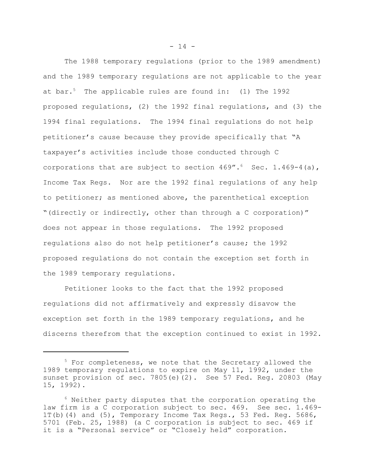The 1988 temporary regulations (prior to the 1989 amendment) and the 1989 temporary regulations are not applicable to the year at bar.<sup>5</sup> The applicable rules are found in: (1) The 1992 proposed regulations, (2) the 1992 final regulations, and (3) the 1994 final regulations. The 1994 final regulations do not help petitioner's cause because they provide specifically that "A taxpayer's activities include those conducted through C corporations that are subject to section  $469''.6$  Sec. 1.469-4(a), Income Tax Regs. Nor are the 1992 final regulations of any help to petitioner; as mentioned above, the parenthetical exception "(directly or indirectly, other than through a C corporation)" does not appear in those regulations. The 1992 proposed regulations also do not help petitioner's cause; the 1992 proposed regulations do not contain the exception set forth in the 1989 temporary regulations.

Petitioner looks to the fact that the 1992 proposed regulations did not affirmatively and expressly disavow the exception set forth in the 1989 temporary regulations, and he discerns therefrom that the exception continued to exist in 1992.

 $- 14 -$ 

<sup>&</sup>lt;sup>5</sup> For completeness, we note that the Secretary allowed the 1989 temporary regulations to expire on May 11, 1992, under the sunset provision of sec. 7805(e)(2). See 57 Fed. Req. 20803 (May 15, 1992).

<sup>6</sup> Neither party disputes that the corporation operating the law firm is a C corporation subject to sec. 469. See sec. 1.469- 1T(b)(4) and (5), Temporary Income Tax Regs., 53 Fed. Reg. 5686, 5701 (Feb. 25, 1988) (a C corporation is subject to sec. 469 if it is a "Personal service" or "Closely held" corporation.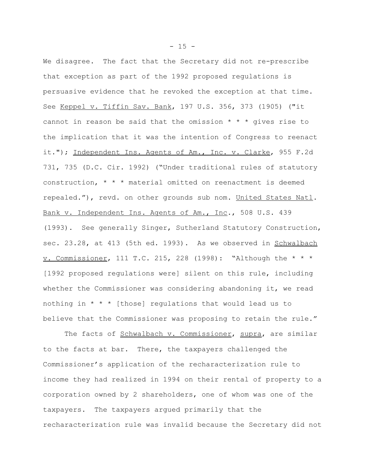We disagree. The fact that the Secretary did not re-prescribe that exception as part of the 1992 proposed regulations is persuasive evidence that he revoked the exception at that time. See Keppel v. Tiffin Sav. Bank, 197 U.S. 356, 373 (1905) ("it cannot in reason be said that the omission  $* * * q$  ives rise to the implication that it was the intention of Congress to reenact it."); Independent Ins. Agents of Am., Inc. v. Clarke, 955 F.2d 731, 735 (D.C. Cir. 1992) ("Under traditional rules of statutory construction, \* \* \* material omitted on reenactment is deemed repealed."), revd. on other grounds sub nom. United States Natl. Bank v. Independent Ins. Agents of Am., Inc., 508 U.S. 439 (1993). See generally Singer, Sutherland Statutory Construction, sec. 23.28, at 413 (5th ed. 1993). As we observed in Schwalbach v. Commissioner, 111 T.C. 215, 228 (1998): "Although the \* \* \* [1992 proposed regulations were] silent on this rule, including whether the Commissioner was considering abandoning it, we read nothing in  $* * *$  [those] regulations that would lead us to believe that the Commissioner was proposing to retain the rule."

The facts of Schwalbach v. Commissioner, supra, are similar to the facts at bar. There, the taxpayers challenged the Commissioner's application of the recharacterization rule to income they had realized in 1994 on their rental of property to a corporation owned by 2 shareholders, one of whom was one of the taxpayers. The taxpayers argued primarily that the recharacterization rule was invalid because the Secretary did not

 $- 15 -$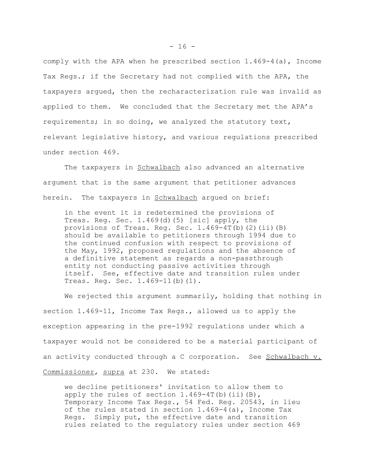comply with the APA when he prescribed section 1.469-4(a), Income Tax Regs.; if the Secretary had not complied with the APA, the taxpayers argued, then the recharacterization rule was invalid as applied to them. We concluded that the Secretary met the APA's requirements; in so doing, we analyzed the statutory text, relevant legislative history, and various regulations prescribed under section 469.

The taxpayers in Schwalbach also advanced an alternative argument that is the same argument that petitioner advances herein. The taxpayers in Schwalbach arqued on brief:

in the event it is redetermined the provisions of Treas. Reg. Sec. 1.469(d)(5) [sic] apply, the provisions of Treas. Reg. Sec. 1.469-4T(b)(2)(ii)(B) should be available to petitioners through 1994 due to the continued confusion with respect to provisions of the May, 1992, proposed regulations and the absence of a definitive statement as regards a non-passthrough entity not conducting passive activities through itself. See, effective date and transition rules under Treas. Reg. Sec. 1.469-11(b)(1).

We rejected this argument summarily, holding that nothing in section 1.469-11, Income Tax Regs., allowed us to apply the exception appearing in the pre-1992 regulations under which a taxpayer would not be considered to be a material participant of an activity conducted through a C corporation. See Schwalbach v. Commissioner, supra at 230. We stated:

we decline petitioners' invitation to allow them to apply the rules of section  $1.469-4T(b)$  (ii)(B), Temporary Income Tax Regs., 54 Fed. Reg. 20543, in lieu of the rules stated in section 1.469-4(a), Income Tax Regs. Simply put, the effective date and transition rules related to the regulatory rules under section 469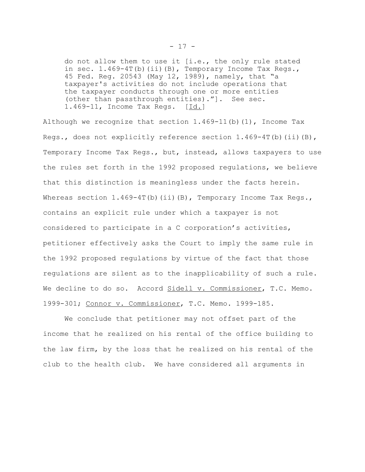do not allow them to use it [i.e., the only rule stated in sec.  $1.469-4T(b)$  (ii)(B), Temporary Income Tax Regs., 45 Fed. Reg. 20543 (May 12, 1989), namely, that "a taxpayer's activities do not include operations that the taxpayer conducts through one or more entities (other than passthrough entities)."]. See sec. 1.469-11, Income Tax Regs. [Id.]

Although we recognize that section  $1.469-11$  (b) (1), Income Tax Regs., does not explicitly reference section  $1.469-4T(b)$  (ii)(B), Temporary Income Tax Regs., but, instead, allows taxpayers to use the rules set forth in the 1992 proposed regulations, we believe that this distinction is meaningless under the facts herein. Whereas section  $1.469-4T(b)(ii)(B)$ , Temporary Income Tax Regs., contains an explicit rule under which a taxpayer is not considered to participate in a C corporation's activities, petitioner effectively asks the Court to imply the same rule in the 1992 proposed regulations by virtue of the fact that those regulations are silent as to the inapplicability of such a rule. We decline to do so. Accord Sidell v. Commissioner, T.C. Memo. 1999-301; Connor v. Commissioner, T.C. Memo. 1999-185.

We conclude that petitioner may not offset part of the income that he realized on his rental of the office building to the law firm, by the loss that he realized on his rental of the club to the health club. We have considered all arguments in

- 17 -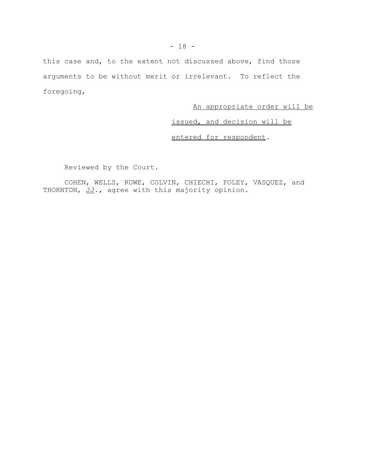this case and, to the extent not discussed above, find those arguments to be without merit or irrelevant. To reflect the foregoing,

# An appropriate order will be

issued, and decision will be

entered for respondent.

Reviewed by the Court.

COHEN, WELLS, RUWE, COLVIN, CHIECHI, FOLEY, VASQUEZ, and THORNTON, JJ., agree with this majority opinion.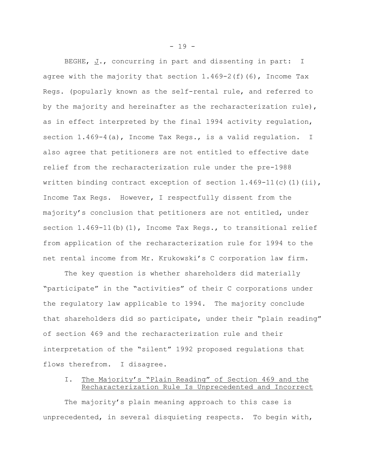BEGHE,  $J.$ , concurring in part and dissenting in part: I agree with the majority that section  $1.469-2(f)(6)$ , Income Tax Regs. (popularly known as the self-rental rule, and referred to by the majority and hereinafter as the recharacterization rule), as in effect interpreted by the final 1994 activity regulation, section 1.469-4(a), Income Tax Regs., is a valid regulation. I also agree that petitioners are not entitled to effective date relief from the recharacterization rule under the pre-1988 written binding contract exception of section  $1.469-11(c)(1)(ii)$ , Income Tax Regs. However, I respectfully dissent from the majority's conclusion that petitioners are not entitled, under section 1.469-11(b)(1), Income Tax Regs., to transitional relief from application of the recharacterization rule for 1994 to the net rental income from Mr. Krukowski's C corporation law firm.

The key question is whether shareholders did materially "participate" in the "activities" of their C corporations under the regulatory law applicable to 1994. The majority conclude that shareholders did so participate, under their "plain reading" of section 469 and the recharacterization rule and their interpretation of the "silent" 1992 proposed regulations that flows therefrom. I disagree.

## I. The Majority's "Plain Reading" of Section 469 and the Recharacterization Rule Is Unprecedented and Incorrect

The majority's plain meaning approach to this case is unprecedented, in several disquieting respects. To begin with,

- 19 -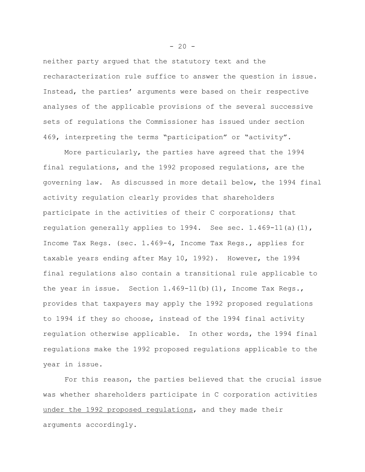neither party argued that the statutory text and the recharacterization rule suffice to answer the question in issue. Instead, the parties' arguments were based on their respective analyses of the applicable provisions of the several successive sets of regulations the Commissioner has issued under section 469, interpreting the terms "participation" or "activity".

More particularly, the parties have agreed that the 1994 final regulations, and the 1992 proposed regulations, are the governing law. As discussed in more detail below, the 1994 final activity regulation clearly provides that shareholders participate in the activities of their C corporations; that regulation generally applies to 1994. See sec. 1.469-11(a)(1), Income Tax Regs. (sec. 1.469-4, Income Tax Regs., applies for taxable years ending after May 10, 1992). However, the 1994 final regulations also contain a transitional rule applicable to the year in issue. Section 1.469-11(b)(1), Income Tax Regs., provides that taxpayers may apply the 1992 proposed regulations to 1994 if they so choose, instead of the 1994 final activity regulation otherwise applicable. In other words, the 1994 final regulations make the 1992 proposed regulations applicable to the year in issue.

For this reason, the parties believed that the crucial issue was whether shareholders participate in C corporation activities under the 1992 proposed regulations, and they made their arguments accordingly.

 $- 20 -$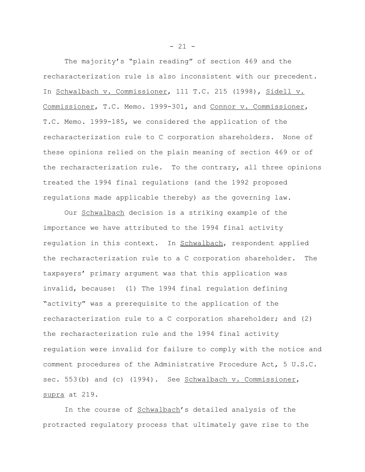The majority's "plain reading" of section 469 and the recharacterization rule is also inconsistent with our precedent. In Schwalbach v. Commissioner, 111 T.C. 215 (1998), Sidell v. Commissioner, T.C. Memo. 1999-301, and Connor v. Commissioner, T.C. Memo. 1999-185, we considered the application of the recharacterization rule to C corporation shareholders. None of these opinions relied on the plain meaning of section 469 or of the recharacterization rule. To the contrary, all three opinions treated the 1994 final regulations (and the 1992 proposed regulations made applicable thereby) as the governing law.

Our Schwalbach decision is a striking example of the importance we have attributed to the 1994 final activity regulation in this context. In Schwalbach, respondent applied the recharacterization rule to a C corporation shareholder. The taxpayers' primary argument was that this application was invalid, because: (1) The 1994 final regulation defining "activity" was a prerequisite to the application of the recharacterization rule to a C corporation shareholder; and (2) the recharacterization rule and the 1994 final activity regulation were invalid for failure to comply with the notice and comment procedures of the Administrative Procedure Act, 5 U.S.C. sec. 553(b) and (c) (1994). See Schwalbach v. Commissioner, supra at 219.

In the course of Schwalbach's detailed analysis of the protracted regulatory process that ultimately gave rise to the

 $- 21 -$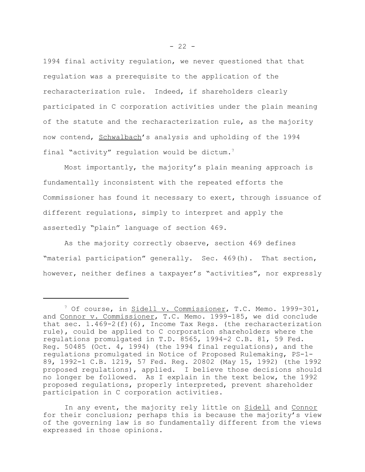1994 final activity regulation, we never questioned that that regulation was a prerequisite to the application of the recharacterization rule. Indeed, if shareholders clearly participated in C corporation activities under the plain meaning of the statute and the recharacterization rule, as the majority now contend, Schwalbach's analysis and upholding of the 1994 final "activity" regulation would be dictum.<sup>7</sup>

Most importantly, the majority's plain meaning approach is fundamentally inconsistent with the repeated efforts the Commissioner has found it necessary to exert, through issuance of different regulations, simply to interpret and apply the assertedly "plain" language of section 469.

As the majority correctly observe, section 469 defines "material participation" generally. Sec. 469(h). That section, however, neither defines a taxpayer's "activities", nor expressly

In any event, the majority rely little on Sidell and Connor for their conclusion; perhaps this is because the majority's view of the governing law is so fundamentally different from the views expressed in those opinions.

<sup>&</sup>lt;sup>7</sup> Of course, in <u>Sidell v. Commissioner</u>, T.C. Memo. 1999-301, and Connor v. Commissioner, T.C. Memo. 1999-185, we did conclude that sec. 1.469-2(f)(6), Income Tax Regs. (the recharacterization rule), could be applied to C corporation shareholders where the regulations promulgated in T.D. 8565, 1994-2 C.B. 81, 59 Fed. Reg. 50485 (Oct. 4, 1994) (the 1994 final regulations), and the regulations promulgated in Notice of Proposed Rulemaking, PS-1- 89, 1992-1 C.B. 1219, 57 Fed. Reg. 20802 (May 15, 1992) (the 1992 proposed regulations), applied. I believe those decisions should no longer be followed. As I explain in the text below, the 1992 proposed regulations, properly interpreted, prevent shareholder participation in C corporation activities.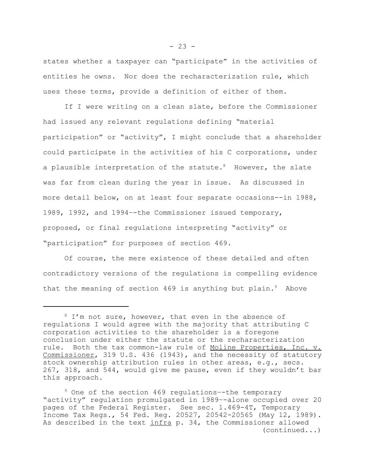states whether a taxpayer can "participate" in the activities of entities he owns. Nor does the recharacterization rule, which uses these terms, provide a definition of either of them.

If I were writing on a clean slate, before the Commissioner had issued any relevant regulations defining "material participation" or "activity", I might conclude that a shareholder could participate in the activities of his C corporations, under a plausible interpretation of the statute.<sup>8</sup> However, the slate was far from clean during the year in issue. As discussed in more detail below, on at least four separate occasions--in 1988, 1989, 1992, and 1994–-the Commissioner issued temporary, proposed, or final regulations interpreting "activity" or "participation" for purposes of section 469.

Of course, the mere existence of these detailed and often contradictory versions of the regulations is compelling evidence that the meaning of section 469 is anything but plain. $9$  Above

 $8$  I'm not sure, however, that even in the absence of regulations I would agree with the majority that attributing C corporation activities to the shareholder is a foregone conclusion under either the statute or the recharacterization rule. Both the tax common-law rule of Moline Properties, Inc. v. Commissioner, 319 U.S. 436 (1943), and the necessity of statutory stock ownership attribution rules in other areas, e.g., secs. 267, 318, and 544, would give me pause, even if they wouldn't bar this approach.

<sup>9</sup> One of the section 469 regulations–-the temporary "activity" regulation promulgated in 1989–-alone occupied over 20 pages of the Federal Register. See sec. 1.469-4T, Temporary Income Tax Regs., 54 Fed. Reg. 20527, 20542-20565 (May 12, 1989). As described in the text infra p. 34, the Commissioner allowed (continued...)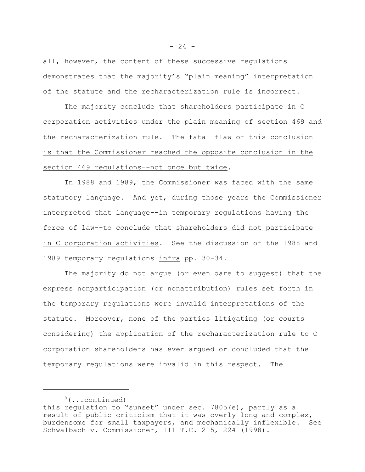all, however, the content of these successive regulations demonstrates that the majority's "plain meaning" interpretation of the statute and the recharacterization rule is incorrect.

The majority conclude that shareholders participate in C corporation activities under the plain meaning of section 469 and the recharacterization rule. The fatal flaw of this conclusion is that the Commissioner reached the opposite conclusion in the section 469 regulations–-not once but twice.

In 1988 and 1989, the Commissioner was faced with the same statutory language. And yet, during those years the Commissioner interpreted that language--in temporary regulations having the force of law--to conclude that shareholders did not participate in C corporation activities. See the discussion of the 1988 and 1989 temporary regulations infra pp. 30-34.

The majority do not argue (or even dare to suggest) that the express nonparticipation (or nonattribution) rules set forth in the temporary regulations were invalid interpretations of the statute. Moreover, none of the parties litigating (or courts considering) the application of the recharacterization rule to C corporation shareholders has ever argued or concluded that the temporary regulations were invalid in this respect. The

 $9($ ...continued) this regulation to "sunset" under sec. 7805(e), partly as a result of public criticism that it was overly long and complex, burdensome for small taxpayers, and mechanically inflexible. See Schwalbach v. Commissioner, 111 T.C. 215, 224 (1998).

 $- 24 -$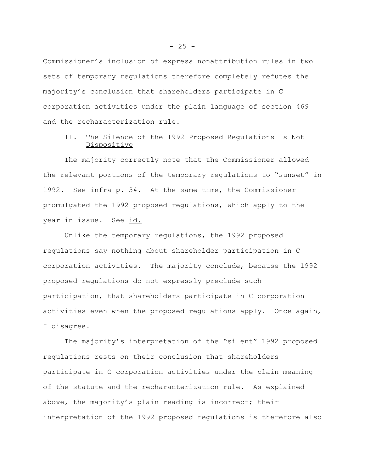Commissioner's inclusion of express nonattribution rules in two sets of temporary regulations therefore completely refutes the majority's conclusion that shareholders participate in C corporation activities under the plain language of section 469 and the recharacterization rule.

## II. The Silence of the 1992 Proposed Regulations Is Not Dispositive

The majority correctly note that the Commissioner allowed the relevant portions of the temporary regulations to "sunset" in 1992. See infra p. 34. At the same time, the Commissioner promulgated the 1992 proposed regulations, which apply to the year in issue. See id.

Unlike the temporary regulations, the 1992 proposed regulations say nothing about shareholder participation in C corporation activities. The majority conclude, because the 1992 proposed regulations do not expressly preclude such participation, that shareholders participate in C corporation activities even when the proposed regulations apply. Once again, I disagree.

The majority's interpretation of the "silent" 1992 proposed regulations rests on their conclusion that shareholders participate in C corporation activities under the plain meaning of the statute and the recharacterization rule. As explained above, the majority's plain reading is incorrect; their interpretation of the 1992 proposed regulations is therefore also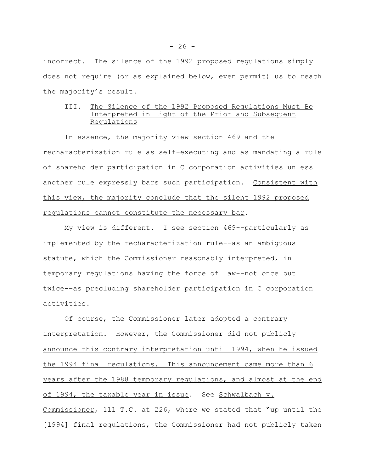incorrect. The silence of the 1992 proposed regulations simply does not require (or as explained below, even permit) us to reach the majority's result.

## III. The Silence of the 1992 Proposed Regulations Must Be Interpreted in Light of the Prior and Subsequent Regulations

In essence, the majority view section 469 and the recharacterization rule as self-executing and as mandating a rule of shareholder participation in C corporation activities unless another rule expressly bars such participation. Consistent with this view, the majority conclude that the silent 1992 proposed regulations cannot constitute the necessary bar.

My view is different. I see section 469-–particularly as implemented by the recharacterization rule--as an ambiguous statute, which the Commissioner reasonably interpreted, in temporary regulations having the force of law--not once but twice-–as precluding shareholder participation in C corporation activities.

Of course, the Commissioner later adopted a contrary interpretation. However, the Commissioner did not publicly announce this contrary interpretation until 1994, when he issued the 1994 final regulations. This announcement came more than 6 years after the 1988 temporary regulations, and almost at the end of 1994, the taxable year in issue. See Schwalbach v. Commissioner, 111 T.C. at 226, where we stated that "up until the [1994] final regulations, the Commissioner had not publicly taken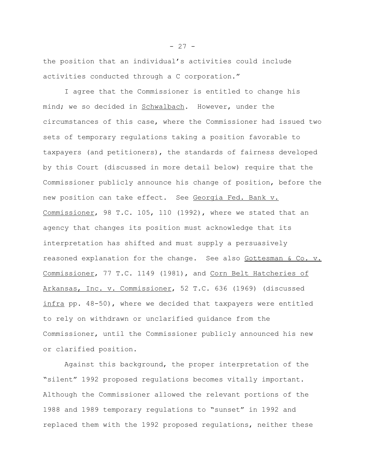the position that an individual's activities could include activities conducted through a C corporation."

I agree that the Commissioner is entitled to change his mind; we so decided in Schwalbach. However, under the circumstances of this case, where the Commissioner had issued two sets of temporary regulations taking a position favorable to taxpayers (and petitioners), the standards of fairness developed by this Court (discussed in more detail below) require that the Commissioner publicly announce his change of position, before the new position can take effect. See Georgia Fed. Bank v. Commissioner, 98 T.C. 105, 110 (1992), where we stated that an agency that changes its position must acknowledge that its interpretation has shifted and must supply a persuasively reasoned explanation for the change. See also Gottesman & Co. v. Commissioner, 77 T.C. 1149 (1981), and Corn Belt Hatcheries of Arkansas, Inc. v. Commissioner, 52 T.C. 636 (1969) (discussed infra pp. 48-50), where we decided that taxpayers were entitled to rely on withdrawn or unclarified guidance from the Commissioner, until the Commissioner publicly announced his new or clarified position.

Against this background, the proper interpretation of the "silent" 1992 proposed regulations becomes vitally important. Although the Commissioner allowed the relevant portions of the 1988 and 1989 temporary regulations to "sunset" in 1992 and replaced them with the 1992 proposed regulations, neither these

 $- 27 -$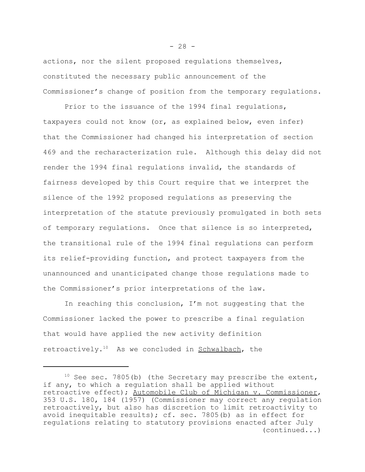actions, nor the silent proposed regulations themselves, constituted the necessary public announcement of the Commissioner's change of position from the temporary regulations.

Prior to the issuance of the 1994 final regulations, taxpayers could not know (or, as explained below, even infer) that the Commissioner had changed his interpretation of section 469 and the recharacterization rule. Although this delay did not render the 1994 final regulations invalid, the standards of fairness developed by this Court require that we interpret the silence of the 1992 proposed regulations as preserving the interpretation of the statute previously promulgated in both sets of temporary regulations. Once that silence is so interpreted, the transitional rule of the 1994 final regulations can perform its relief-providing function, and protect taxpayers from the unannounced and unanticipated change those regulations made to the Commissioner's prior interpretations of the law.

In reaching this conclusion, I'm not suggesting that the Commissioner lacked the power to prescribe a final regulation that would have applied the new activity definition retroactively.<sup>10</sup> As we concluded in Schwalbach, the

<sup>&</sup>lt;sup>10</sup> See sec. 7805(b) (the Secretary may prescribe the extent, if any, to which a regulation shall be applied without retroactive effect); Automobile Club of Michigan v. Commissioner, 353 U.S. 180, 184 (1957) (Commissioner may correct any regulation retroactively, but also has discretion to limit retroactivity to avoid inequitable results); cf. sec. 7805(b) as in effect for regulations relating to statutory provisions enacted after July (continued...)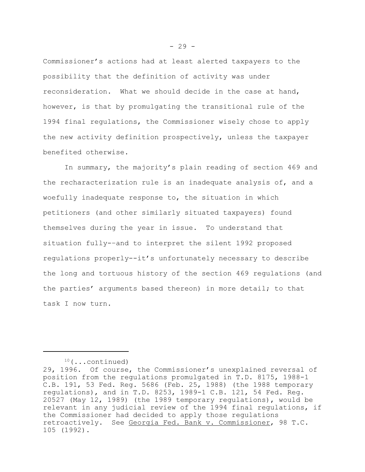Commissioner's actions had at least alerted taxpayers to the possibility that the definition of activity was under reconsideration. What we should decide in the case at hand, however, is that by promulgating the transitional rule of the 1994 final regulations, the Commissioner wisely chose to apply the new activity definition prospectively, unless the taxpayer benefited otherwise.

In summary, the majority's plain reading of section 469 and the recharacterization rule is an inadequate analysis of, and a woefully inadequate response to, the situation in which petitioners (and other similarly situated taxpayers) found themselves during the year in issue. To understand that situation fully-–and to interpret the silent 1992 proposed regulations properly--it's unfortunately necessary to describe the long and tortuous history of the section 469 regulations (and the parties' arguments based thereon) in more detail; to that task I now turn.

 $10$  (...continued)

<sup>29, 1996.</sup> Of course, the Commissioner's unexplained reversal of position from the regulations promulgated in T.D. 8175, 1988-1 C.B. 191, 53 Fed. Reg. 5686 (Feb. 25, 1988) (the 1988 temporary regulations), and in T.D. 8253, 1989-1 C.B. 121, 54 Fed. Reg. 20527 (May 12, 1989) (the 1989 temporary regulations), would be relevant in any judicial review of the 1994 final regulations, if the Commissioner had decided to apply those regulations retroactively. See Georgia Fed. Bank v. Commissioner, 98 T.C. 105 (1992).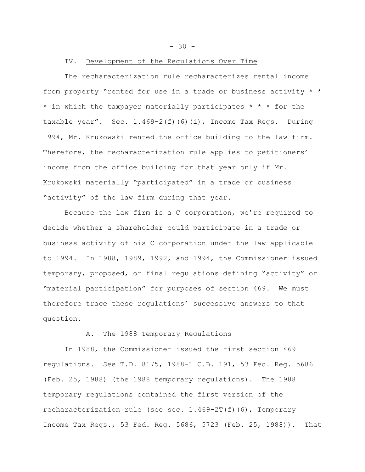- 30 -

#### IV. Development of the Regulations Over Time

The recharacterization rule recharacterizes rental income from property "rented for use in a trade or business activity \* \* \* in which the taxpayer materially participates \* \* \* for the taxable year". Sec. 1.469-2(f)(6)(i), Income Tax Regs. During 1994, Mr. Krukowski rented the office building to the law firm. Therefore, the recharacterization rule applies to petitioners' income from the office building for that year only if Mr. Krukowski materially "participated" in a trade or business "activity" of the law firm during that year.

Because the law firm is a C corporation, we're required to decide whether a shareholder could participate in a trade or business activity of his C corporation under the law applicable to 1994. In 1988, 1989, 1992, and 1994, the Commissioner issued temporary, proposed, or final regulations defining "activity" or "material participation" for purposes of section 469. We must therefore trace these regulations' successive answers to that question.

#### A. The 1988 Temporary Regulations

In 1988, the Commissioner issued the first section 469 regulations. See T.D. 8175, 1988-1 C.B. 191, 53 Fed. Reg. 5686 (Feb. 25, 1988) (the 1988 temporary regulations). The 1988 temporary regulations contained the first version of the recharacterization rule (see sec. 1.469-2T(f)(6), Temporary Income Tax Regs., 53 Fed. Reg. 5686, 5723 (Feb. 25, 1988)). That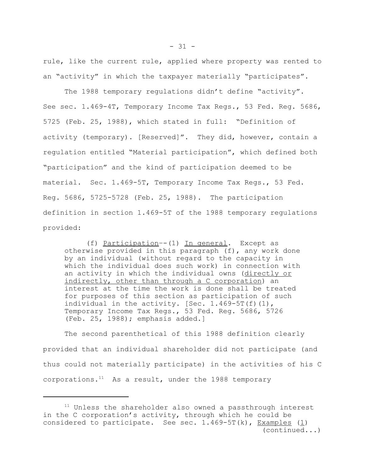rule, like the current rule, applied where property was rented to an "activity" in which the taxpayer materially "participates".

The 1988 temporary regulations didn't define "activity". See sec. 1.469-4T, Temporary Income Tax Regs., 53 Fed. Reg. 5686, 5725 (Feb. 25, 1988), which stated in full: "Definition of activity (temporary). [Reserved]". They did, however, contain a regulation entitled "Material participation", which defined both "participation" and the kind of participation deemed to be material. Sec. 1.469-5T, Temporary Income Tax Regs., 53 Fed. Reg. 5686, 5725-5728 (Feb. 25, 1988). The participation definition in section 1.469-5T of the 1988 temporary regulations provided:

(f) Participation–-(1) In general. Except as otherwise provided in this paragraph (f), any work done by an individual (without regard to the capacity in which the individual does such work) in connection with an activity in which the individual owns (directly or indirectly, other than through a C corporation) an interest at the time the work is done shall be treated for purposes of this section as participation of such individual in the activity. [Sec.  $1.469-5T(f)(1)$ , Temporary Income Tax Regs., 53 Fed. Reg. 5686, 5726 (Feb. 25, 1988); emphasis added.]

The second parenthetical of this 1988 definition clearly provided that an individual shareholder did not participate (and thus could not materially participate) in the activities of his C corporations. $11$  As a result, under the 1988 temporary

<sup>&</sup>lt;sup>11</sup> Unless the shareholder also owned a passthrough interest in the C corporation's activity, through which he could be considered to participate. See sec.  $1.469-5T(k)$ , Examples  $(1)$ (continued...)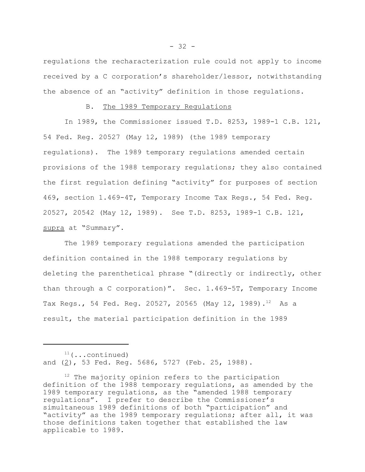regulations the recharacterization rule could not apply to income received by a C corporation's shareholder/lessor, notwithstanding the absence of an "activity" definition in those regulations.

#### B. The 1989 Temporary Regulations

In 1989, the Commissioner issued T.D. 8253, 1989-1 C.B. 121, 54 Fed. Reg. 20527 (May 12, 1989) (the 1989 temporary regulations). The 1989 temporary regulations amended certain provisions of the 1988 temporary regulations; they also contained the first regulation defining "activity" for purposes of section 469, section 1.469-4T, Temporary Income Tax Regs., 54 Fed. Reg. 20527, 20542 (May 12, 1989). See T.D. 8253, 1989-1 C.B. 121, supra at "Summary".

The 1989 temporary regulations amended the participation definition contained in the 1988 temporary regulations by deleting the parenthetical phrase "(directly or indirectly, other than through a C corporation)". Sec. 1.469-5T, Temporary Income Tax Regs., 54 Fed. Reg. 20527, 20565 (May 12, 1989).<sup>12</sup> As a result, the material participation definition in the 1989

 $11$ (...continued) and (2), 53 Fed. Reg. 5686, 5727 (Feb. 25, 1988).

<sup>&</sup>lt;sup>12</sup> The majority opinion refers to the participation definition of the 1988 temporary regulations, as amended by the 1989 temporary regulations, as the "amended 1988 temporary regulations". I prefer to describe the Commissioner's simultaneous 1989 definitions of both "participation" and "activity" as the 1989 temporary regulations; after all, it was those definitions taken together that established the law applicable to 1989.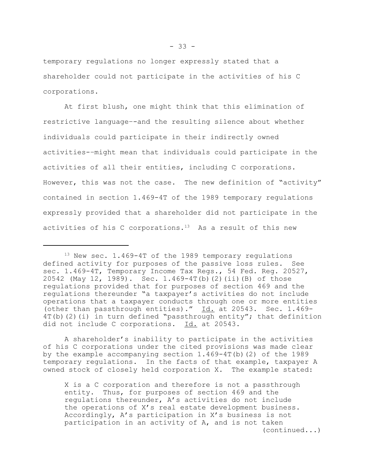temporary regulations no longer expressly stated that a shareholder could not participate in the activities of his C corporations.

At first blush, one might think that this elimination of restrictive language–-and the resulting silence about whether individuals could participate in their indirectly owned activities-–might mean that individuals could participate in the activities of all their entities, including C corporations. However, this was not the case. The new definition of "activity" contained in section 1.469-4T of the 1989 temporary regulations expressly provided that a shareholder did not participate in the activities of his C corporations.<sup>13</sup> As a result of this new

A shareholder's inability to participate in the activities of his C corporations under the cited provisions was made clear by the example accompanying section  $1.469-4T(b)$  (2) of the 1989 temporary regulations. In the facts of that example, taxpayer A owned stock of closely held corporation X. The example stated:

X is a C corporation and therefore is not a passthrough entity. Thus, for purposes of section 469 and the regulations thereunder, A's activities do not include the operations of X's real estate development business. Accordingly, A's participation in X's business is not participation in an activity of A, and is not taken (continued...)

<sup>&</sup>lt;sup>13</sup> New sec. 1.469-4T of the 1989 temporary regulations defined activity for purposes of the passive loss rules. See sec. 1.469-4T, Temporary Income Tax Regs., 54 Fed. Reg. 20527, 20542 (May 12, 1989). Sec. 1.469-4T(b)(2)(ii)(B) of those regulations provided that for purposes of section 469 and the regulations thereunder "a taxpayer's activities do not include operations that a taxpayer conducts through one or more entities (other than passthrough entities)." Id. at 20543. Sec. 1.469-  $4T(b)(2)(i)$  in turn defined "passthrough entity"; that definition did not include C corporations. Id. at 20543.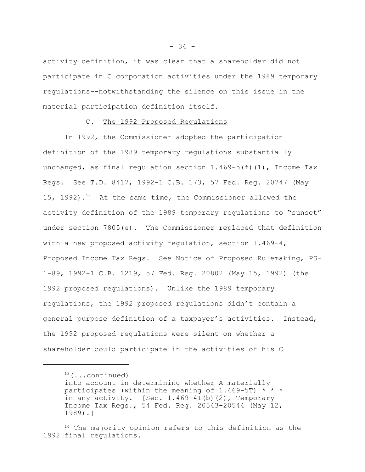activity definition, it was clear that a shareholder did not participate in C corporation activities under the 1989 temporary regulations–-notwithstanding the silence on this issue in the material participation definition itself.

### C. The 1992 Proposed Regulations

In 1992, the Commissioner adopted the participation definition of the 1989 temporary regulations substantially unchanged, as final regulation section 1.469-5(f)(1), Income Tax Regs. See T.D. 8417, 1992-1 C.B. 173, 57 Fed. Reg. 20747 (May 15, 1992).14 At the same time, the Commissioner allowed the activity definition of the 1989 temporary regulations to "sunset" under section 7805(e). The Commissioner replaced that definition with a new proposed activity regulation, section 1.469-4, Proposed Income Tax Regs. See Notice of Proposed Rulemaking, PS-1-89, 1992-1 C.B. 1219, 57 Fed. Reg. 20802 (May 15, 1992) (the 1992 proposed regulations). Unlike the 1989 temporary regulations, the 1992 proposed regulations didn't contain a general purpose definition of a taxpayer's activities. Instead, the 1992 proposed regulations were silent on whether a shareholder could participate in the activities of his C

 $13$  (...continued)

into account in determining whether A materially participates (within the meaning of 1.469-5T)  $* * *$ in any activity. [Sec. 1.469-4T(b)(2), Temporary Income Tax Regs., 54 Fed. Reg. 20543-20544 (May 12, 1989).]

<sup>&</sup>lt;sup>14</sup> The majority opinion refers to this definition as the 1992 final regulations.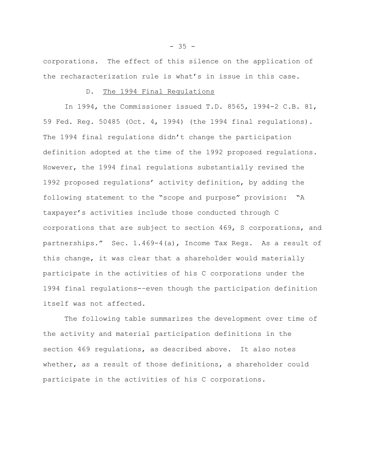corporations. The effect of this silence on the application of the recharacterization rule is what's in issue in this case.

## D. The 1994 Final Requlations

In 1994, the Commissioner issued T.D. 8565, 1994-2 C.B. 81, 59 Fed. Reg. 50485 (Oct. 4, 1994) (the 1994 final regulations). The 1994 final regulations didn't change the participation definition adopted at the time of the 1992 proposed regulations. However, the 1994 final regulations substantially revised the 1992 proposed regulations' activity definition, by adding the following statement to the "scope and purpose" provision: "A taxpayer's activities include those conducted through C corporations that are subject to section 469, S corporations, and partnerships." Sec. 1.469-4(a), Income Tax Regs. As a result of this change, it was clear that a shareholder would materially participate in the activities of his C corporations under the 1994 final regulations-–even though the participation definition itself was not affected.

The following table summarizes the development over time of the activity and material participation definitions in the section 469 regulations, as described above. It also notes whether, as a result of those definitions, a shareholder could participate in the activities of his C corporations.

- 35 -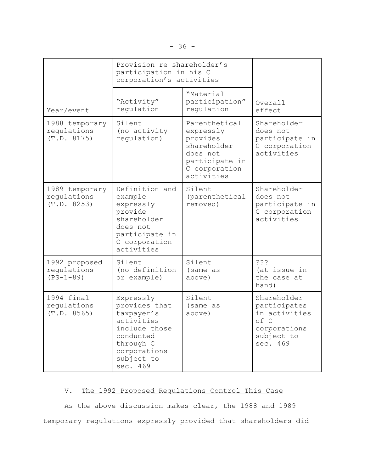|                                              | Provision re shareholder's<br>participation in his C<br>corporation's activities                                                            |                                                                                                                    |                                                                                                |
|----------------------------------------------|---------------------------------------------------------------------------------------------------------------------------------------------|--------------------------------------------------------------------------------------------------------------------|------------------------------------------------------------------------------------------------|
| Year/event                                   | "Activity"<br>regulation                                                                                                                    | "Material<br>participation"<br>regulation                                                                          | Overall<br>effect                                                                              |
| 1988 temporary<br>regulations<br>(T.D. 8175) | Silent<br>(no activity<br>requlation)                                                                                                       | Parenthetical<br>expressly<br>provides<br>shareholder<br>does not<br>participate in<br>C corporation<br>activities | Shareholder<br>does not<br>participate in<br>C corporation<br>activities                       |
| 1989 temporary<br>regulations<br>(T.D. 8253) | Definition and<br>example<br>expressly<br>provide<br>shareholder<br>does not<br>participate in<br>C corporation<br>activities               | Silent<br>(parenthetical<br>removed)                                                                               | Shareholder<br>does not<br>participate in<br>C corporation<br>activities                       |
| 1992 proposed<br>regulations<br>$(PS-1-89)$  | Silent<br>(no definition<br>or example)                                                                                                     | Silent<br>(same as<br>above)                                                                                       | ? ? ?<br>(at issue in<br>the case at<br>hand)                                                  |
| 1994 final<br>regulations<br>(T.D. 8565)     | Expressly<br>provides that<br>taxpayer's<br>activities<br>include those<br>conducted<br>through C<br>corporations<br>subject to<br>sec. 469 | Silent<br>(same as<br>above)                                                                                       | Shareholder<br>participates<br>in activities<br>of C<br>corporations<br>subject to<br>sec. 469 |

# V. The 1992 Proposed Regulations Control This Case

As the above discussion makes clear, the 1988 and 1989 temporary regulations expressly provided that shareholders did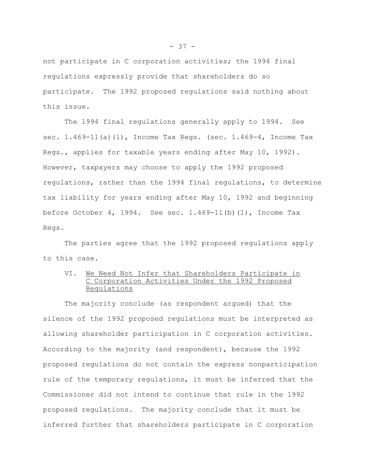not participate in C corporation activities; the 1994 final regulations expressly provide that shareholders do so participate. The 1992 proposed regulations said nothing about this issue.

The 1994 final regulations generally apply to 1994. See sec. 1.469-11(a)(1), Income Tax Regs. (sec. 1.469-4, Income Tax Regs., applies for taxable years ending after May 10, 1992). However, taxpayers may choose to apply the 1992 proposed regulations, rather than the 1994 final regulations, to determine tax liability for years ending after May 10, 1992 and beginning before October 4, 1994. See sec. 1.469-11(b)(1), Income Tax Regs.

The parties agree that the 1992 proposed regulations apply to this case.

## VI. We Need Not Infer that Shareholders Participate in C Corporation Activities Under the 1992 Proposed Regulations

The majority conclude (as respondent argued) that the silence of the 1992 proposed regulations must be interpreted as allowing shareholder participation in C corporation activities. According to the majority (and respondent), because the 1992 proposed regulations do not contain the express nonparticipation rule of the temporary regulations, it must be inferred that the Commissioner did not intend to continue that rule in the 1992 proposed regulations. The majority conclude that it must be inferred further that shareholders participate in C corporation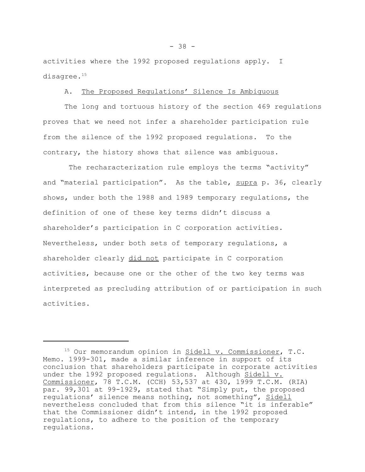activities where the 1992 proposed regulations apply. I disagree.<sup>15</sup>

## A. The Proposed Regulations' Silence Is Ambiguous

The long and tortuous history of the section 469 regulations proves that we need not infer a shareholder participation rule from the silence of the 1992 proposed regulations. To the contrary, the history shows that silence was ambiguous.

The recharacterization rule employs the terms "activity" and "material participation". As the table, supra p. 36, clearly shows, under both the 1988 and 1989 temporary regulations, the definition of one of these key terms didn't discuss a shareholder's participation in C corporation activities. Nevertheless, under both sets of temporary regulations, a shareholder clearly did not participate in C corporation activities, because one or the other of the two key terms was interpreted as precluding attribution of or participation in such activities.

<sup>15</sup> Our memorandum opinion in Sidell v. Commissioner, T.C. Memo. 1999-301, made a similar inference in support of its conclusion that shareholders participate in corporate activities under the 1992 proposed regulations. Although Sidell v. Commissioner, 78 T.C.M. (CCH) 53,537 at 430, 1999 T.C.M. (RIA) par. 99,301 at 99-1929, stated that "Simply put, the proposed regulations' silence means nothing, not something", Sidell nevertheless concluded that from this silence "it is inferable" that the Commissioner didn't intend, in the 1992 proposed regulations, to adhere to the position of the temporary regulations.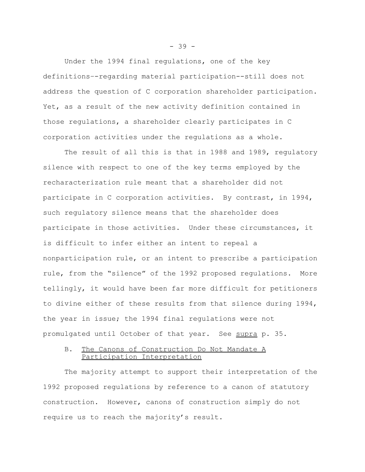Under the 1994 final regulations, one of the key definitions–-regarding material participation--still does not address the question of C corporation shareholder participation. Yet, as a result of the new activity definition contained in those regulations, a shareholder clearly participates in C corporation activities under the regulations as a whole.

The result of all this is that in 1988 and 1989, regulatory silence with respect to one of the key terms employed by the recharacterization rule meant that a shareholder did not participate in C corporation activities. By contrast, in 1994, such regulatory silence means that the shareholder does participate in those activities. Under these circumstances, it is difficult to infer either an intent to repeal a nonparticipation rule, or an intent to prescribe a participation rule, from the "silence" of the 1992 proposed regulations. More tellingly, it would have been far more difficult for petitioners to divine either of these results from that silence during 1994, the year in issue; the 1994 final regulations were not promulgated until October of that year. See supra p. 35.

## B. The Canons of Construction Do Not Mandate A Participation Interpretation

The majority attempt to support their interpretation of the 1992 proposed regulations by reference to a canon of statutory construction. However, canons of construction simply do not require us to reach the majority's result.

- 39 -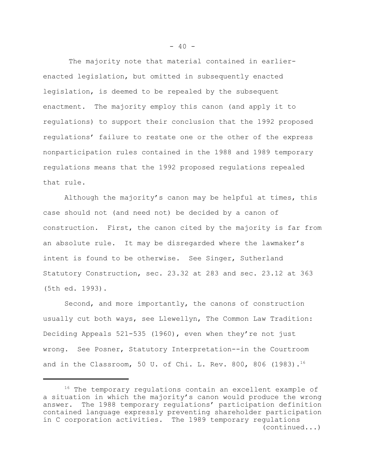The majority note that material contained in earlierenacted legislation, but omitted in subsequently enacted legislation, is deemed to be repealed by the subsequent enactment. The majority employ this canon (and apply it to regulations) to support their conclusion that the 1992 proposed regulations' failure to restate one or the other of the express nonparticipation rules contained in the 1988 and 1989 temporary regulations means that the 1992 proposed regulations repealed that rule.

Although the majority's canon may be helpful at times, this case should not (and need not) be decided by a canon of construction. First, the canon cited by the majority is far from an absolute rule. It may be disregarded where the lawmaker's intent is found to be otherwise. See Singer, Sutherland Statutory Construction, sec. 23.32 at 283 and sec. 23.12 at 363 (5th ed. 1993).

Second, and more importantly, the canons of construction usually cut both ways, see Llewellyn, The Common Law Tradition: Deciding Appeals 521-535 (1960), even when they're not just wrong. See Posner, Statutory Interpretation--in the Courtroom and in the Classroom, 50 U. of Chi. L. Rev. 800, 806 (1983).<sup>16</sup>

<sup>&</sup>lt;sup>16</sup> The temporary regulations contain an excellent example of a situation in which the majority's canon would produce the wrong answer. The 1988 temporary regulations' participation definition contained language expressly preventing shareholder participation in C corporation activities. The 1989 temporary regulations (continued...)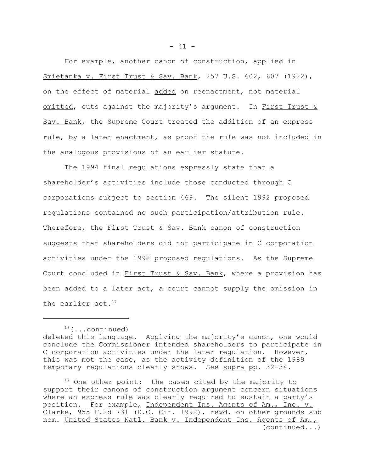For example, another canon of construction, applied in Smietanka v. First Trust & Sav. Bank, 257 U.S. 602, 607 (1922), on the effect of material added on reenactment, not material omitted, cuts against the majority's argument. In First Trust & Sav. Bank, the Supreme Court treated the addition of an express rule, by a later enactment, as proof the rule was not included in the analogous provisions of an earlier statute.

The 1994 final regulations expressly state that a shareholder's activities include those conducted through C corporations subject to section 469. The silent 1992 proposed regulations contained no such participation/attribution rule. Therefore, the First Trust & Sav. Bank canon of construction suggests that shareholders did not participate in C corporation activities under the 1992 proposed regulations. As the Supreme Court concluded in First Trust & Sav. Bank, where a provision has been added to a later act, a court cannot supply the omission in the earlier act. $17$ 

 $16$  (...continued)

deleted this language. Applying the majority's canon, one would conclude the Commissioner intended shareholders to participate in C corporation activities under the later regulation. However, this was not the case, as the activity definition of the 1989 temporary regulations clearly shows. See supra pp. 32-34.

<sup>&</sup>lt;sup>17</sup> One other point: the cases cited by the majority to support their canons of construction argument concern situations where an express rule was clearly required to sustain a party's position. For example, Independent Ins. Agents of Am., Inc. v. Clarke, 955 F.2d 731 (D.C. Cir. 1992), revd. on other grounds sub nom. United States Natl. Bank v. Independent Ins. Agents of Am., (continued...)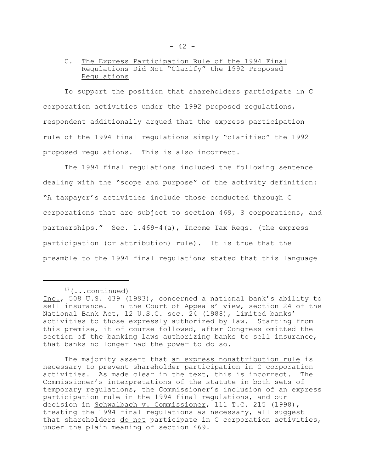## C. The Express Participation Rule of the 1994 Final Regulations Did Not "Clarify" the 1992 Proposed Regulations

To support the position that shareholders participate in C corporation activities under the 1992 proposed regulations, respondent additionally argued that the express participation rule of the 1994 final regulations simply "clarified" the 1992 proposed regulations. This is also incorrect.

The 1994 final regulations included the following sentence dealing with the "scope and purpose" of the activity definition: "A taxpayer's activities include those conducted through C corporations that are subject to section 469, S corporations, and partnerships." Sec. 1.469-4(a), Income Tax Regs. (the express participation (or attribution) rule). It is true that the preamble to the 1994 final regulations stated that this language

 $17$ (...continued)

The majority assert that an express nonattribution rule is necessary to prevent shareholder participation in C corporation activities. As made clear in the text, this is incorrect. The Commissioner's interpretations of the statute in both sets of temporary regulations, the Commissioner's inclusion of an express participation rule in the 1994 final regulations, and our decision in Schwalbach v. Commissioner, 111 T.C. 215 (1998), treating the 1994 final regulations as necessary, all suggest that shareholders do not participate in C corporation activities, under the plain meaning of section 469.

Inc., 508 U.S. 439 (1993), concerned a national bank's ability to sell insurance. In the Court of Appeals' view, section 24 of the National Bank Act, 12 U.S.C. sec. 24 (1988), limited banks' activities to those expressly authorized by law. Starting from this premise, it of course followed, after Congress omitted the section of the banking laws authorizing banks to sell insurance, that banks no longer had the power to do so.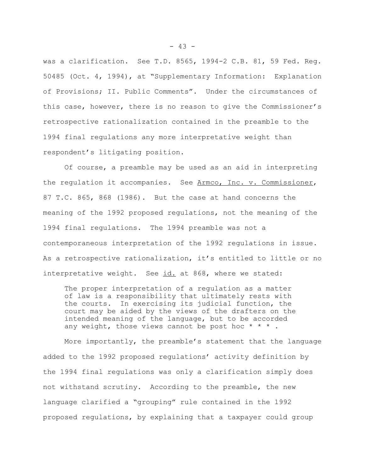was a clarification. See T.D. 8565, 1994-2 C.B. 81, 59 Fed. Reg. 50485 (Oct. 4, 1994), at "Supplementary Information: Explanation of Provisions; II. Public Comments". Under the circumstances of this case, however, there is no reason to give the Commissioner's retrospective rationalization contained in the preamble to the 1994 final regulations any more interpretative weight than respondent's litigating position.

Of course, a preamble may be used as an aid in interpreting the regulation it accompanies. See Armco, Inc. v. Commissioner, 87 T.C. 865, 868 (1986). But the case at hand concerns the meaning of the 1992 proposed regulations, not the meaning of the 1994 final regulations. The 1994 preamble was not a contemporaneous interpretation of the 1992 regulations in issue. As a retrospective rationalization, it's entitled to little or no interpretative weight. See id. at 868, where we stated:

The proper interpretation of a regulation as a matter of law is a responsibility that ultimately rests with the courts. In exercising its judicial function, the court may be aided by the views of the drafters on the intended meaning of the language, but to be accorded any weight, those views cannot be post hoc  $* * *$ .

More importantly, the preamble's statement that the language added to the 1992 proposed regulations' activity definition by the 1994 final regulations was only a clarification simply does not withstand scrutiny. According to the preamble, the new language clarified a "grouping" rule contained in the 1992 proposed regulations, by explaining that a taxpayer could group

- 43 -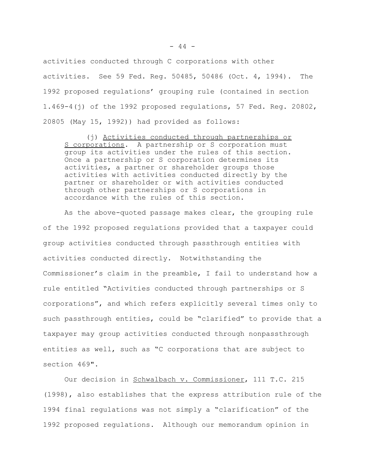activities conducted through C corporations with other activities. See 59 Fed. Reg. 50485, 50486 (Oct. 4, 1994). The 1992 proposed regulations' grouping rule (contained in section 1.469-4(j) of the 1992 proposed regulations, 57 Fed. Reg. 20802, 20805 (May 15, 1992)) had provided as follows:

(j) Activities conducted through partnerships or S corporations. A partnership or S corporation must group its activities under the rules of this section. Once a partnership or S corporation determines its activities, a partner or shareholder groups those activities with activities conducted directly by the partner or shareholder or with activities conducted through other partnerships or S corporations in accordance with the rules of this section.

As the above-quoted passage makes clear, the grouping rule of the 1992 proposed regulations provided that a taxpayer could group activities conducted through passthrough entities with activities conducted directly. Notwithstanding the Commissioner's claim in the preamble, I fail to understand how a rule entitled "Activities conducted through partnerships or S corporations", and which refers explicitly several times only to such passthrough entities, could be "clarified" to provide that a taxpayer may group activities conducted through nonpassthrough entities as well, such as "C corporations that are subject to section 469".

Our decision in Schwalbach v. Commissioner, 111 T.C. 215 (1998), also establishes that the express attribution rule of the 1994 final regulations was not simply a "clarification" of the 1992 proposed regulations. Although our memorandum opinion in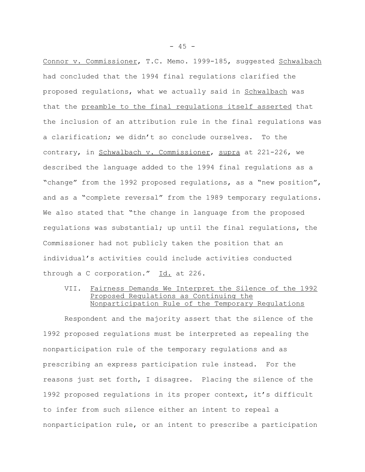Connor v. Commissioner, T.C. Memo. 1999-185, suggested Schwalbach had concluded that the 1994 final regulations clarified the proposed regulations, what we actually said in Schwalbach was that the preamble to the final regulations itself asserted that the inclusion of an attribution rule in the final regulations was a clarification; we didn't so conclude ourselves. To the contrary, in Schwalbach v. Commissioner, supra at 221-226, we described the language added to the 1994 final regulations as a "change" from the 1992 proposed regulations, as a "new position", and as a "complete reversal" from the 1989 temporary regulations. We also stated that "the change in language from the proposed regulations was substantial; up until the final regulations, the Commissioner had not publicly taken the position that an individual's activities could include activities conducted through a C corporation." Id. at 226.

VII. Fairness Demands We Interpret the Silence of the 1992 Proposed Regulations as Continuing the Nonparticipation Rule of the Temporary Regulations

Respondent and the majority assert that the silence of the 1992 proposed regulations must be interpreted as repealing the nonparticipation rule of the temporary regulations and as prescribing an express participation rule instead. For the reasons just set forth, I disagree. Placing the silence of the 1992 proposed regulations in its proper context, it's difficult to infer from such silence either an intent to repeal a nonparticipation rule, or an intent to prescribe a participation

- 45 -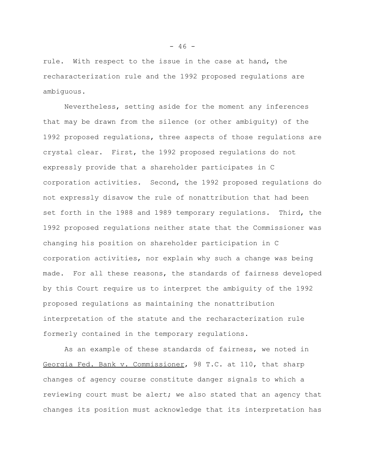rule. With respect to the issue in the case at hand, the recharacterization rule and the 1992 proposed regulations are ambiguous.

Nevertheless, setting aside for the moment any inferences that may be drawn from the silence (or other ambiguity) of the 1992 proposed regulations, three aspects of those regulations are crystal clear. First, the 1992 proposed regulations do not expressly provide that a shareholder participates in C corporation activities. Second, the 1992 proposed regulations do not expressly disavow the rule of nonattribution that had been set forth in the 1988 and 1989 temporary regulations. Third, the 1992 proposed regulations neither state that the Commissioner was changing his position on shareholder participation in C corporation activities, nor explain why such a change was being made. For all these reasons, the standards of fairness developed by this Court require us to interpret the ambiguity of the 1992 proposed regulations as maintaining the nonattribution interpretation of the statute and the recharacterization rule formerly contained in the temporary regulations.

As an example of these standards of fairness, we noted in Georgia Fed. Bank v. Commissioner, 98 T.C. at 110, that sharp changes of agency course constitute danger signals to which a reviewing court must be alert; we also stated that an agency that changes its position must acknowledge that its interpretation has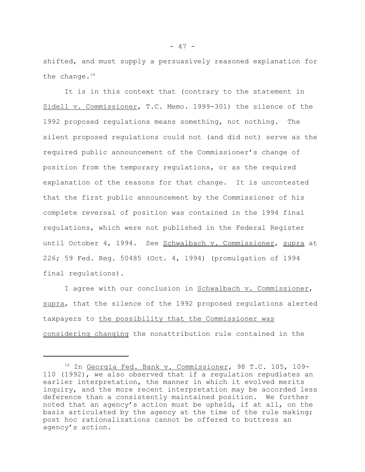shifted, and must supply a persuasively reasoned explanation for the change. $18$ 

It is in this context that (contrary to the statement in Sidell v. Commissioner, T.C. Memo. 1999-301) the silence of the 1992 proposed regulations means something, not nothing. The silent proposed regulations could not (and did not) serve as the required public announcement of the Commissioner's change of position from the temporary regulations, or as the required explanation of the reasons for that change. It is uncontested that the first public announcement by the Commissioner of his complete reversal of position was contained in the 1994 final regulations, which were not published in the Federal Register until October 4, 1994. See Schwalbach v. Commissioner, supra at 226; 59 Fed. Reg. 50485 (Oct. 4, 1994) (promulgation of 1994 final regulations).

I agree with our conclusion in Schwalbach v. Commissioner, supra, that the silence of the 1992 proposed regulations alerted taxpayers to the possibility that the Commissioner was considering changing the nonattribution rule contained in the

<sup>18</sup> In Georgia Fed. Bank v. Commissioner, 98 T.C. 105, 109- 110 (1992), we also observed that if a regulation repudiates an earlier interpretation, the manner in which it evolved merits inquiry, and the more recent interpretation may be accorded less deference than a consistently maintained position. We further noted that an agency's action must be upheld, if at all, on the basis articulated by the agency at the time of the rule making; post hoc rationalizations cannot be offered to buttress an agency's action.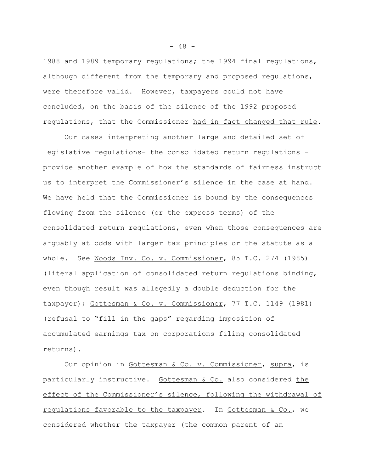1988 and 1989 temporary regulations; the 1994 final regulations, although different from the temporary and proposed regulations, were therefore valid. However, taxpayers could not have concluded, on the basis of the silence of the 1992 proposed regulations, that the Commissioner had in fact changed that rule.

Our cases interpreting another large and detailed set of legislative regulations-–the consolidated return regulations– provide another example of how the standards of fairness instruct us to interpret the Commissioner's silence in the case at hand. We have held that the Commissioner is bound by the consequences flowing from the silence (or the express terms) of the consolidated return regulations, even when those consequences are arguably at odds with larger tax principles or the statute as a whole. See Woods Inv. Co. v. Commissioner, 85 T.C. 274 (1985) (literal application of consolidated return regulations binding, even though result was allegedly a double deduction for the taxpayer); Gottesman & Co. v. Commissioner, 77 T.C. 1149 (1981) (refusal to "fill in the gaps" regarding imposition of accumulated earnings tax on corporations filing consolidated returns).

Our opinion in Gottesman & Co. v. Commissioner, supra, is particularly instructive. Gottesman & Co. also considered the effect of the Commissioner's silence, following the withdrawal of regulations favorable to the taxpayer. In Gottesman & Co., we considered whether the taxpayer (the common parent of an

 $- 48 -$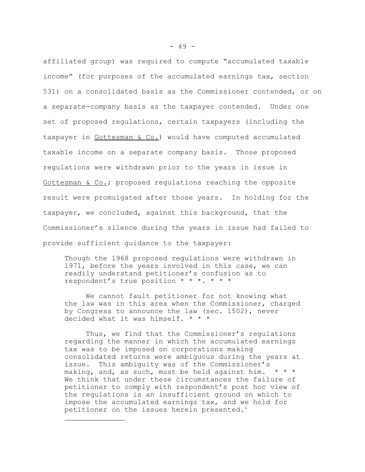affiliated group) was required to compute "accumulated taxable income" (for purposes of the accumulated earnings tax, section 531) on a consolidated basis as the Commissioner contended, or on a separate-company basis as the taxpayer contended. Under one set of proposed regulations, certain taxpayers (including the taxpayer in Gottesman & Co.) would have computed accumulated taxable income on a separate company basis. Those proposed regulations were withdrawn prior to the years in issue in Gottesman & Co.; proposed regulations reaching the opposite result were promulgated after those years. In holding for the taxpayer, we concluded, against this background, that the Commissioner's silence during the years in issue had failed to provide sufficient guidance to the taxpayer:

Though the 1968 proposed regulations were withdrawn in 1971, before the years involved in this case, we can readily understand petitioner's confusion as to respondent's true position \* \* \*. \* \* \*

We cannot fault petitioner for not knowing what the law was in this area when the Commissioner, charged by Congress to announce the law (sec. 1502), never decided what it was himself. \* \* \*

Thus, we find that the Commissioner's regulations regarding the manner in which the accumulated earnings tax was to be imposed on corporations making consolidated returns were ambiguous during the years at issue. This ambiguity was of the Commissioner's making, and, as such, must be held against him.  $* * *$ We think that under these circumstances the failure of petitioner to comply with respondent's post hoc view of the regulations is an insufficient ground on which to impose the accumulated earnings tax, and we hold for petitioner on the issues herein presented.<sup>4</sup>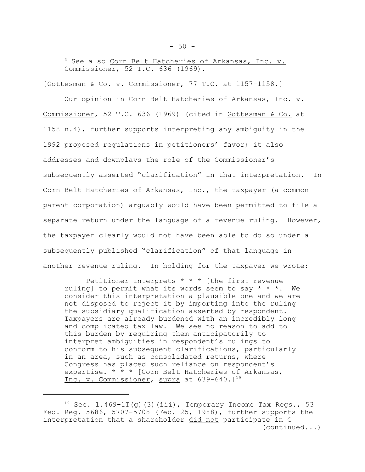<sup>4</sup> See also Corn Belt Hatcheries of Arkansas, Inc. v. Commissioner, 52 T.C. 636 (1969).

[Gottesman & Co. v. Commissioner, 77 T.C. at 1157-1158.]

Our opinion in Corn Belt Hatcheries of Arkansas, Inc. v. Commissioner, 52 T.C. 636 (1969) (cited in Gottesman & Co. at 1158 n.4), further supports interpreting any ambiguity in the 1992 proposed regulations in petitioners' favor; it also addresses and downplays the role of the Commissioner's subsequently asserted "clarification" in that interpretation. In Corn Belt Hatcheries of Arkansas, Inc., the taxpayer (a common parent corporation) arguably would have been permitted to file a separate return under the language of a revenue ruling. However, the taxpayer clearly would not have been able to do so under a subsequently published "clarification" of that language in another revenue ruling. In holding for the taxpayer we wrote:

Petitioner interprets \* \* \* [the first revenue ruling] to permit what its words seem to say  $* * *$ . We consider this interpretation a plausible one and we are not disposed to reject it by importing into the ruling the subsidiary qualification asserted by respondent. Taxpayers are already burdened with an incredibly long and complicated tax law. We see no reason to add to this burden by requiring them anticipatorily to interpret ambiguities in respondent's rulings to conform to his subsequent clarifications, particularly in an area, such as consolidated returns, where Congress has placed such reliance on respondent's expertise. \* \* \* [Corn Belt Hatcheries of Arkansas, Inc. v. Commissioner, supra at 639-640.]<sup>19</sup>

 $19$  Sec. 1.469-1T(g)(3)(iii), Temporary Income Tax Regs., 53 Fed. Reg. 5686, 5707-5708 (Feb. 25, 1988), further supports the interpretation that a shareholder did not participate in C (continued...)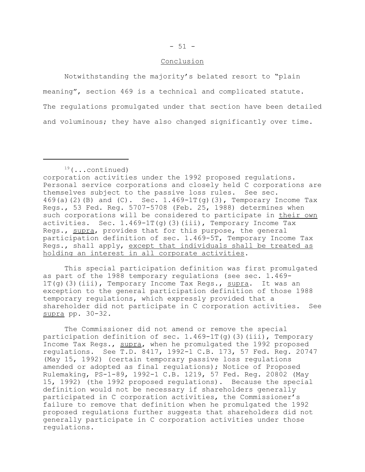#### Conclusion

Notwithstanding the majority's belated resort to "plain meaning", section 469 is a technical and complicated statute. The regulations promulgated under that section have been detailed and voluminous; they have also changed significantly over time.

corporation activities under the 1992 proposed regulations. Personal service corporations and closely held C corporations are themselves subject to the passive loss rules. See sec. 469(a)(2)(B) and (C). Sec.  $1.469-1T(q)(3)$ , Temporary Income Tax Regs., 53 Fed. Reg. 5707-5708 (Feb. 25, 1988) determines when such corporations will be considered to participate in their own activities. Sec.  $1.469-1T(q)$  (3)(iii), Temporary Income Tax Regs., supra, provides that for this purpose, the general participation definition of sec. 1.469-5T, Temporary Income Tax Regs., shall apply, except that individuals shall be treated as holding an interest in all corporate activities.

This special participation definition was first promulgated as part of the 1988 temporary regulations (see sec. 1.469- 1T(g)(3)(iii), Temporary Income Tax Regs., supra. It was an exception to the general participation definition of those 1988 temporary regulations, which expressly provided that a shareholder did not participate in C corporation activities. See supra pp. 30-32.

The Commissioner did not amend or remove the special participation definition of sec.  $1.469-1T(g)$  (3)(iii), Temporary Income Tax Regs., supra, when he promulgated the 1992 proposed regulations. See T.D. 8417, 1992-1 C.B. 173, 57 Fed. Reg. 20747 (May 15, 1992) (certain temporary passive loss regulations amended or adopted as final regulations); Notice of Proposed Rulemaking, PS-1-89, 1992-1 C.B. 1219, 57 Fed. Reg. 20802 (May 15, 1992) (the 1992 proposed regulations). Because the special definition would not be necessary if shareholders generally participated in C corporation activities, the Commissioner's failure to remove that definition when he promulgated the 1992 proposed regulations further suggests that shareholders did not generally participate in C corporation activities under those regulations.

 $19$ (...continued)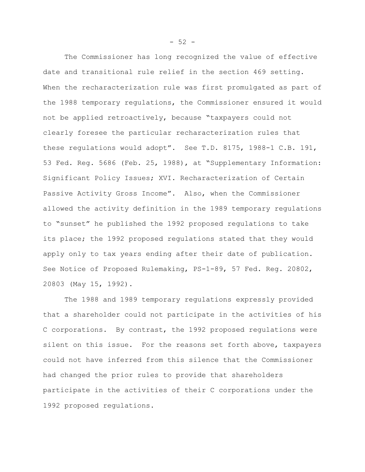The Commissioner has long recognized the value of effective date and transitional rule relief in the section 469 setting. When the recharacterization rule was first promulgated as part of the 1988 temporary regulations, the Commissioner ensured it would not be applied retroactively, because "taxpayers could not clearly foresee the particular recharacterization rules that these regulations would adopt". See T.D. 8175, 1988-1 C.B. 191, 53 Fed. Reg. 5686 (Feb. 25, 1988), at "Supplementary Information: Significant Policy Issues; XVI. Recharacterization of Certain Passive Activity Gross Income". Also, when the Commissioner allowed the activity definition in the 1989 temporary regulations to "sunset" he published the 1992 proposed regulations to take its place; the 1992 proposed regulations stated that they would apply only to tax years ending after their date of publication. See Notice of Proposed Rulemaking, PS-1-89, 57 Fed. Reg. 20802, 20803 (May 15, 1992).

The 1988 and 1989 temporary regulations expressly provided that a shareholder could not participate in the activities of his C corporations. By contrast, the 1992 proposed regulations were silent on this issue. For the reasons set forth above, taxpayers could not have inferred from this silence that the Commissioner had changed the prior rules to provide that shareholders participate in the activities of their C corporations under the 1992 proposed regulations.

 $-52 -$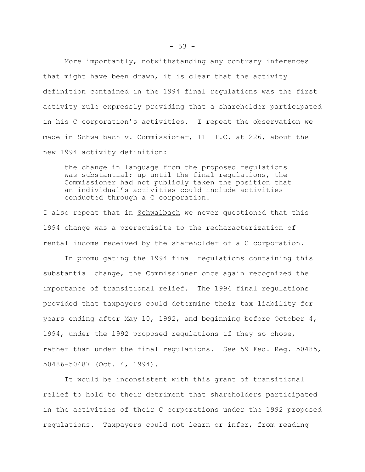More importantly, notwithstanding any contrary inferences that might have been drawn, it is clear that the activity definition contained in the 1994 final regulations was the first activity rule expressly providing that a shareholder participated in his C corporation's activities. I repeat the observation we made in Schwalbach v. Commissioner, 111 T.C. at 226, about the new 1994 activity definition:

the change in language from the proposed regulations was substantial; up until the final regulations, the Commissioner had not publicly taken the position that an individual's activities could include activities conducted through a C corporation.

I also repeat that in Schwalbach we never questioned that this 1994 change was a prerequisite to the recharacterization of rental income received by the shareholder of a C corporation.

In promulgating the 1994 final regulations containing this substantial change, the Commissioner once again recognized the importance of transitional relief. The 1994 final regulations provided that taxpayers could determine their tax liability for years ending after May 10, 1992, and beginning before October 4, 1994, under the 1992 proposed regulations if they so chose, rather than under the final regulations. See 59 Fed. Reg. 50485, 50486-50487 (Oct. 4, 1994).

It would be inconsistent with this grant of transitional relief to hold to their detriment that shareholders participated in the activities of their C corporations under the 1992 proposed regulations. Taxpayers could not learn or infer, from reading